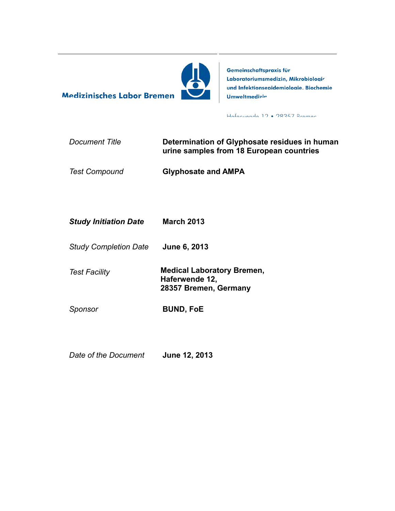

Gemeinschaftspraxis für Laboratoriumsmedizin, Mikrobiologie und Infektionsepidemiologie, Biochemie: **Umweltmedizin** 

Hafanvande 12 • 28357 Rraman

| Document Title | Determination of Glyphosate residues in human |
|----------------|-----------------------------------------------|
|                | urine samples from 18 European countries      |

*Test Compound* **Glyphosate and AMPA** 

| <b>Study Initiation Date</b> | <b>March 2013</b> |
|------------------------------|-------------------|
|------------------------------|-------------------|

**Medizinisches Labor Bremen** 

- *Study Completion Date* **June 6, 2013**
- 

*Test Facility* **Medical Laboratory Bremen, Haferwende 12, 28357 Bremen, Germany**

*Sponsor* **BUND, FoE**

*Date of the Document* **June 12, 2013**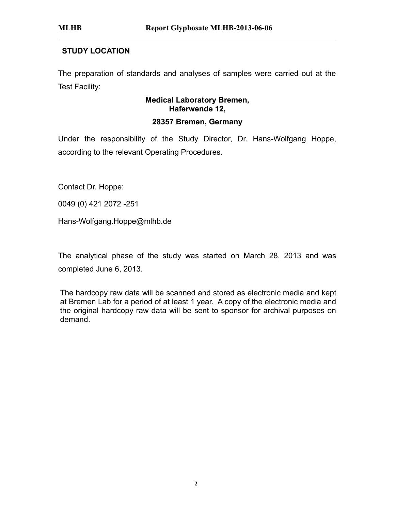# **STUDY LOCATION**

The preparation of standards and analyses of samples were carried out at the Test Facility:

# **Medical Laboratory Bremen, Haferwende 12, 28357 Bremen, Germany**

Under the responsibility of the Study Director, Dr. Hans-Wolfgang Hoppe, according to the relevant Operating Procedures.

Contact Dr. Hoppe:

0049 (0) 421 2072 -251

Hans-Wolfgang.Hoppe@mlhb.de

The analytical phase of the study was started on March 28, 2013 and was completed June 6, 2013.

The hardcopy raw data will be scanned and stored as electronic media and kept at Bremen Lab for a period of at least 1 year. A copy of the electronic media and the original hardcopy raw data will be sent to sponsor for archival purposes on demand.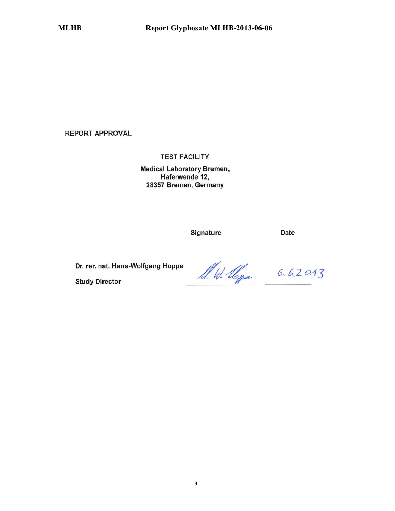**REPORT APPROVAL** 

**TEST FACILITY** 

**Medical Laboratory Bremen,** Haferwende 12, 28357 Bremen, Germany

Signature

Date

Dr. rer. nat. Hans-Wolfgang Hoppe

**Study Director** 

A. W. Hope 6.6.2013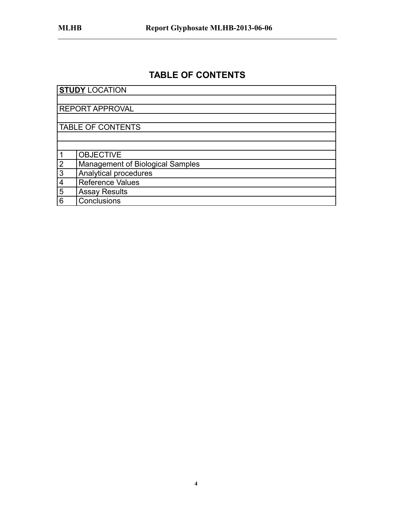# **TABLE OF CONTENTS**

<span id="page-3-0"></span>

|                | <b>STUDY LOCATION</b>                   |
|----------------|-----------------------------------------|
|                |                                         |
|                | <b>REPORT APPROVAL</b>                  |
|                |                                         |
|                | <b>TABLE OF CONTENTS</b>                |
|                |                                         |
|                |                                         |
|                | <b>OBJECTIVE</b>                        |
| 2              | <b>Management of Biological Samples</b> |
| $\mathfrak{S}$ | Analytical procedures                   |
| 4              | <b>Reference Values</b>                 |
| 5              | <b>Assay Results</b>                    |
| 6              | Conclusions                             |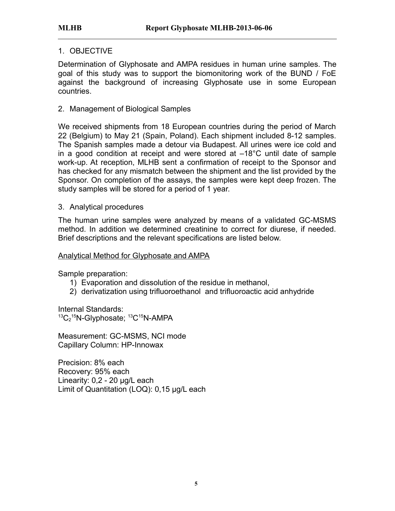## 1. OBJECTIVE

Determination of Glyphosate and AMPA residues in human urine samples. The goal of this study was to support the biomonitoring work of the BUND / FoE against the background of increasing Glyphosate use in some European countries.

# 2. Management of Biological Samples

We received shipments from 18 European countries during the period of March 22 (Belgium) to May 21 (Spain, Poland). Each shipment included 8-12 samples. The Spanish samples made a detour via Budapest. All urines were ice cold and in a good condition at receipt and were stored at –18°C until date of sample work-up. At reception, MLHB sent a confirmation of receipt to the Sponsor and has checked for any mismatch between the shipment and the list provided by the Sponsor. On completion of the assays, the samples were kept deep frozen. The study samples will be stored for a period of 1 year.

## 3. Analytical procedures

The human urine samples were analyzed by means of a validated GC-MSMS method. In addition we determined creatinine to correct for diurese, if needed. Brief descriptions and the relevant specifications are listed below.

#### Analytical Method for Glyphosate and AMPA

Sample preparation:

- 1) Evaporation and dissolution of the residue in methanol,
- 2) derivatization using trifluoroethanol and trifluoroactic acid anhydride

Internal Standards:  $^{13}C_2$ <sup>15</sup>N-Glyphosate;  $^{13}C$ <sup>15</sup>N-AMPA

Measurement: GC-MSMS, NCI mode Capillary Column: HP-Innowax

Precision: 8% each Recovery: 95% each Linearity: 0,2 - 20 µg/L each Limit of Quantitation (LOQ): 0,15 µg/L each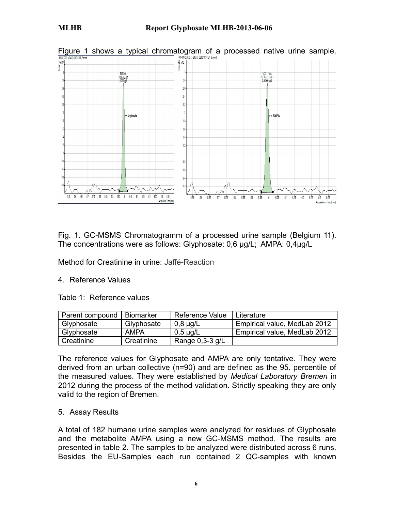

Fig. 1. GC-MSMS Chromatogramm of a processed urine sample (Belgium 11). The concentrations were as follows: Glyphosate: 0,6 µg/L; AMPA: 0,4µg/L

Method for Creatinine in urine: Jaffé-Reaction

#### 4. Reference Values

Table 1: Reference values

| Parent compound | <b>Biomarker</b> | <b>Reference Value</b> | Literature                   |
|-----------------|------------------|------------------------|------------------------------|
| Glyphosate      | Glyphosate       | $0,8 \mu g/L$          | Empirical value, MedLab 2012 |
| Glyphosate      | <b>AMPA</b>      | $0.5 \mu$ g/L          | Empirical value, MedLab 2012 |
| Creatinine      | Creatinine       | Range $0,3-3$ g/L      |                              |

The reference values for Glyphosate and AMPA are only tentative. They were derived from an urban collective (n=90) and are defined as the 95. percentile of the measured values. They were established by *Medical Laboratory Bremen* in 2012 during the process of the method validation. Strictly speaking they are only valid to the region of Bremen.

#### 5. Assay Results

A total of 182 humane urine samples were analyzed for residues of Glyphosate and the metabolite AMPA using a new GC-MSMS method. The results are presented in table 2. The samples to be analyzed were distributed across 6 runs. Besides the EU-Samples each run contained 2 QC-samples with known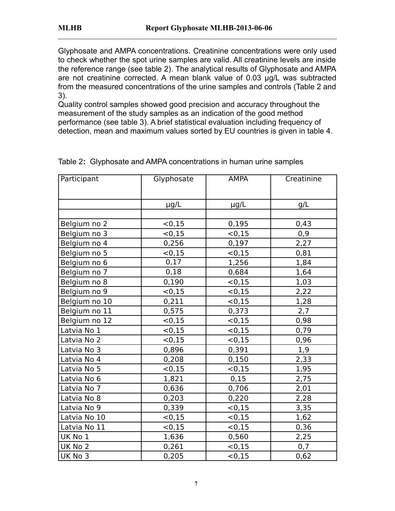Glyphosate and AMPA concentrations. Creatinine concentrations were only used to check whether the spot urine samples are valid. All creatinine levels are inside the reference range (see table 2). The analytical results of Glyphosate and AMPA are not creatinine corrected. A mean blank value of 0.03 µg/L was subtracted from the measured concentrations of the urine samples and controls (Table 2 and 3).

Quality control samples showed good precision and accuracy throughout the measurement of the study samples as an indication of the good method performance (see table 3). A brief statistical evaluation including frequency of detection, mean and maximum values sorted by EU countries is given in table 4.

| Participant   | Glyphosate | <b>AMPA</b> | Creatinine |
|---------------|------------|-------------|------------|
|               |            |             |            |
|               | $\mu$ g/L  | $\mu$ g/L   | g/L        |
|               |            |             |            |
| Belgium no 2  | < 0, 15    | 0,195       | 0,43       |
| Belgium no 3  | < 0, 15    | < 0, 15     | 0,9        |
| Belgium no 4  | 0,256      | 0,197       | 2,27       |
| Belgium no 5  | < 0, 15    | < 0, 15     | 0,81       |
| Belgium no 6  | 0,17       | 1,256       | 1,84       |
| Belgium no 7  | 0,18       | 0,684       | 1,64       |
| Belgium no 8  | 0,190      | < 0, 15     | 1,03       |
| Belgium no 9  | < 0, 15    | < 0, 15     | 2,22       |
| Belgium no 10 | 0,211      | < 0.15      | 1,28       |
| Belgium no 11 | 0,575      | 0,373       | 2,7        |
| Belgium no 12 | < 0, 15    | < 0.15      | 0,98       |
| Latvia No 1   | < 0.15     | < 0, 15     | 0,79       |
| Latvia No 2   | < 0, 15    | < 0, 15     | 0,96       |
| Latvia No 3   | 0,896      | 0,391       | 1,9        |
| Latvia No 4   | 0,208      | 0,150       | 2,33       |
| Latvia No 5   | < 0, 15    | < 0, 15     | 1,95       |
| Latvia No 6   | 1,821      | 0,15        | 2,75       |
| Latvia No 7   | 0,636      | 0,706       | 2,01       |
| Latvia No 8   | 0,203      | 0,220       | 2,28       |
| Latvia No 9   | 0,339      | < 0, 15     | 3,35       |
| Latvia No 10  | < 0, 15    | < 0, 15     | 1,62       |
| Latvia No 11  | < 0, 15    | < 0, 15     | 0,36       |
| UK No 1       | 1,636      | 0,560       | 2,25       |
| UK No 2       | 0,261      | < 0, 15     | 0,7        |
| UK No 3       | 0,205      | < 0, 15     | 0,62       |

Table 2**:** Glyphosate and AMPA concentrations in human urine samples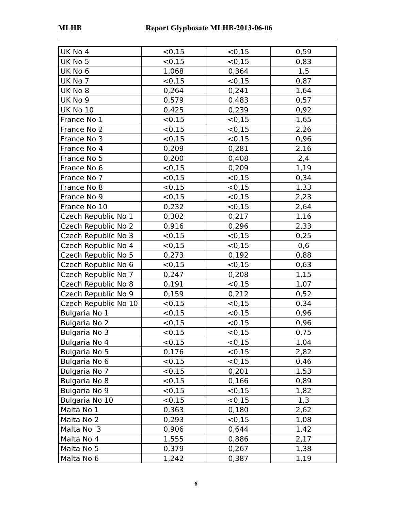| UK No 4              | < 0, 15     | < 0.15  | 0,59 |
|----------------------|-------------|---------|------|
| UK No 5              | < 0, 15     | < 0, 15 | 0,83 |
| UK No 6              | 1,068       | 0,364   | 1,5  |
| UK No 7              | < 0.15      | < 0, 15 | 0,87 |
| UK No 8              | 0,264       | 0,241   | 1,64 |
| UK No 9              | 0,579       | 0,483   | 0,57 |
| <b>UK No 10</b>      | 0,425       | 0,239   | 0,92 |
| France No 1          | < 0.15      | < 0.15  | 1,65 |
| France No 2          | < 0, 15     | < 0, 15 | 2,26 |
| France No 3          | < 0, 15     | < 0.15  | 0,96 |
| France No 4          | 0,209       | 0,281   | 2,16 |
| France No 5          | 0,200       | 0,408   | 2,4  |
| France No 6          | < 0, 15     | 0,209   | 1,19 |
| France No 7          | < 0, 15     | < 0.15  | 0,34 |
| France No 8          | < 0, 15     | < 0, 15 | 1,33 |
| France No 9          | < 0, 15     | < 0, 15 | 2,23 |
| France No 10         | 0,232       | < 0.15  | 2,64 |
| Czech Republic No 1  | 0,302       | 0,217   | 1,16 |
| Czech Republic No 2  | 0,916       | 0,296   | 2,33 |
| Czech Republic No 3  | < 0.15      | < 0.15  | 0,25 |
| Czech Republic No 4  | < 0, 15     | < 0.15  | 0,6  |
| Czech Republic No 5  | 0,273       | 0,192   | 0,88 |
| Czech Republic No 6  | < 0, 15     | < 0, 15 | 0,63 |
| Czech Republic No 7  | 0,247       | 0,208   | 1,15 |
| Czech Republic No 8  | 0,191       | < 0, 15 | 1,07 |
| Czech Republic No 9  | 0,159       | 0,212   | 0,52 |
| Czech Republic No 10 | < 0, 15     | < 0, 15 | 0,34 |
| Bulgaria No 1        | < 0, 15     | < 0.15  | 0,96 |
| <b>Bulgaria No 2</b> | < 0, 15     | < 0.15  | 0,96 |
| Bulgaria No 3        | $\le 0, 15$ | < 0, 15 | 0,75 |
| Bulgaria No 4        | < 0, 15     | < 0.15  | 1,04 |
| Bulgaria No 5        | 0,176       | < 0.15  | 2,82 |
| Bulgaria No 6        | < 0, 15     | < 0, 15 | 0,46 |
| Bulgaria No 7        | < 0,15      | 0,201   | 1,53 |
| <b>Bulgaria No 8</b> | < 0, 15     | 0,166   | 0,89 |
| Bulgaria No 9        | < 0, 15     | < 0.15  | 1,82 |
| Bulgaria No 10       | < 0, 15     | < 0, 15 | 1,3  |
| Malta No 1           | 0,363       | 0,180   | 2,62 |
| Malta No 2           | 0,293       | < 0.15  | 1,08 |
| Malta No 3           | 0,906       | 0,644   | 1,42 |
| Malta No 4           | 1,555       | 0,886   | 2,17 |
| Malta No 5           | 0,379       | 0,267   | 1,38 |
| Malta No 6           | 1,242       | 0,387   | 1,19 |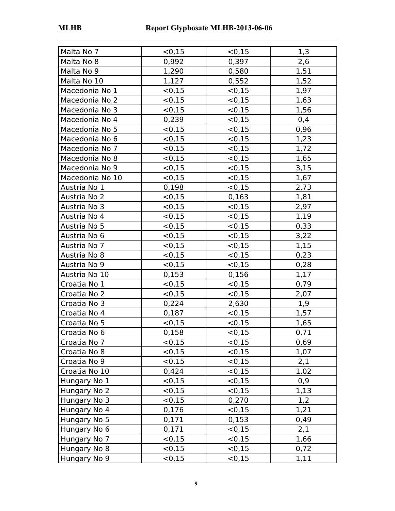| Malta No 7      | < 0.15  | < 0, 15     | 1,3  |
|-----------------|---------|-------------|------|
| Malta No 8      | 0,992   | 0,397       | 2,6  |
| Malta No 9      | 1,290   | 0,580       | 1,51 |
| Malta No 10     | 1,127   | 0,552       | 1,52 |
| Macedonia No 1  | < 0.15  | < 0, 15     | 1,97 |
| Macedonia No 2  | < 0, 15 | < 0.15      | 1,63 |
| Macedonia No 3  | < 0.15  | < 0, 15     | 1,56 |
| Macedonia No 4  | 0,239   | < 0, 15     | 0,4  |
| Macedonia No 5  | < 0, 15 | < 0, 15     | 0,96 |
| Macedonia No 6  | < 0, 15 | < 0.15      | 1,23 |
| Macedonia No 7  | < 0.15  | < 0, 15     | 1,72 |
| Macedonia No 8  | < 0.15  | < 0, 15     | 1,65 |
| Macedonia No 9  | < 0.15  | < 0, 15     | 3,15 |
| Macedonia No 10 | < 0.15  | < 0.15      | 1,67 |
| Austria No 1    | 0,198   | < 0, 15     | 2,73 |
| Austria No 2    | < 0.15  | 0,163       | 1,81 |
| Austria No 3    | < 0.15  | < 0, 15     | 2,97 |
| Austria No 4    | < 0, 15 | < 0.15      | 1,19 |
| Austria No 5    | < 0.15  | < 0, 15     | 0,33 |
| Austria No 6    | < 0.15  | < 0.15      | 3,22 |
| Austria No 7    | < 0.15  | < 0, 15     | 1,15 |
| Austria No 8    | < 0.15  | < 0.15      | 0,23 |
| Austria No 9    | < 0.15  | < 0, 15     | 0,28 |
| Austria No 10   | 0,153   | 0,156       | 1,17 |
| Croatia No 1    | < 0, 15 | < 0, 15     | 0,79 |
| Croatia No 2    | < 0, 15 | < 0.15      | 2,07 |
| Croatia No 3    | 0,224   | 2,630       | 1,9  |
| Croatia No 4    | 0,187   | < 0, 15     | 1,57 |
| Croatia No 5    | < 0, 15 | < 0.15      | 1,65 |
| Croatia No 6    | 0,158   | $\leq 0.15$ | 0,71 |
| Croatia No 7    | < 0.15  | < 0, 15     | 0,69 |
| Croatia No 8    | < 0.15  | < 0, 15     | 1,07 |
| Croatia No 9    | < 0.15  | < 0, 15     | 2,1  |
| Croatia No 10   | 0,424   | < 0.15      | 1,02 |
| Hungary No 1    | < 0, 15 | < 0, 15     | 0,9  |
| Hungary No 2    | < 0, 15 | < 0.15      | 1,13 |
| Hungary No 3    | < 0.15  | 0,270       | 1,2  |
| Hungary No 4    | 0,176   | < 0.15      | 1,21 |
| Hungary No 5    | 0,171   | 0,153       | 0,49 |
| Hungary No 6    | 0,171   | < 0.15      | 2,1  |
| Hungary No 7    | < 0.15  | $\leq 0.15$ | 1,66 |
| Hungary No 8    | < 0.15  | < 0, 15     | 0,72 |
| Hungary No 9    | < 0.15  | < 0, 15     | 1,11 |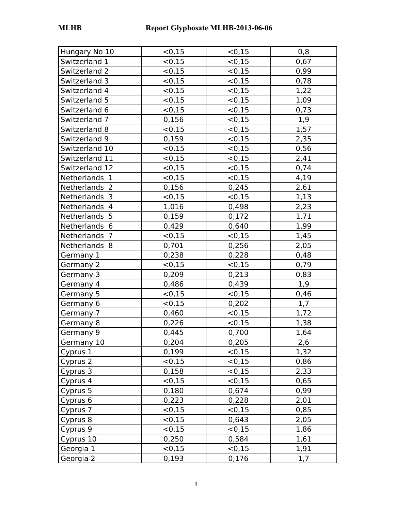| Hungary No 10  | < 0, 15 | < 0.15  | 0,8  |
|----------------|---------|---------|------|
| Switzerland 1  | < 0, 15 | < 0, 15 | 0,67 |
| Switzerland 2  | < 0, 15 | < 0, 15 | 0,99 |
| Switzerland 3  | < 0, 15 | < 0, 15 | 0,78 |
| Switzerland 4  | < 0, 15 | < 0, 15 | 1,22 |
| Switzerland 5  | < 0, 15 | < 0, 15 | 1,09 |
| Switzerland 6  | < 0, 15 | < 0, 15 | 0,73 |
| Switzerland 7  | 0,156   | < 0, 15 | 1,9  |
| Switzerland 8  | < 0, 15 | < 0, 15 | 1,57 |
| Switzerland 9  | 0,159   | < 0, 15 | 2,35 |
| Switzerland 10 | < 0, 15 | < 0, 15 | 0,56 |
| Switzerland 11 | < 0, 15 | < 0.15  | 2,41 |
| Switzerland 12 | < 0, 15 | < 0, 15 | 0,74 |
| Netherlands 1  | < 0, 15 | < 0, 15 | 4,19 |
| Netherlands 2  | 0,156   | 0,245   | 2,61 |
| Netherlands 3  | < 0, 15 | < 0, 15 | 1,13 |
| Netherlands 4  | 1,016   | 0,498   | 2,23 |
| Netherlands 5  | 0,159   | 0,172   | 1,71 |
| Netherlands 6  | 0,429   | 0,640   | 1,99 |
| Netherlands 7  | < 0, 15 | < 0.15  | 1,45 |
| Netherlands 8  | 0,701   | 0,256   | 2,05 |
| Germany 1      | 0,238   | 0,228   | 0,48 |
| Germany 2      | < 0, 15 | < 0, 15 | 0,79 |
| Germany 3      | 0,209   | 0,213   | 0,83 |
| Germany 4      | 0,486   | 0,439   | 1,9  |
| Germany 5      | < 0, 15 | < 0, 15 | 0,46 |
| Germany 6      | < 0, 15 | 0,202   | 1,7  |
| Germany 7      | 0,460   | < 0.15  | 1,72 |
| Germany 8      | 0,226   | < 0.15  | 1,38 |
| Germany 9      | 0,445   | 0,700   | 1,64 |
| Germany 10     | 0,204   | 0,205   | 2,6  |
| Cyprus 1       | 0,199   | < 0.15  | 1,32 |
| Cyprus 2       | < 0, 15 | < 0.15  | 0,86 |
| Cyprus 3       | 0,158   | < 0, 15 | 2,33 |
| Cyprus 4       | < 0.15  | < 0, 15 | 0,65 |
| Cyprus 5       | 0,180   | 0,674   | 0,99 |
| Cyprus 6       | 0,223   | 0,228   | 2,01 |
| Cyprus 7       | < 0,15  | < 0.15  | 0,85 |
| Cyprus 8       | < 0, 15 | 0,643   | 2,05 |
| Cyprus 9       | < 0.15  | < 0.15  | 1,86 |
| Cyprus 10      | 0,250   | 0,584   | 1,61 |
| Georgia 1      | < 0.15  | < 0.15  | 1,91 |
| Georgia 2      | 0,193   | 0,176   | 1,7  |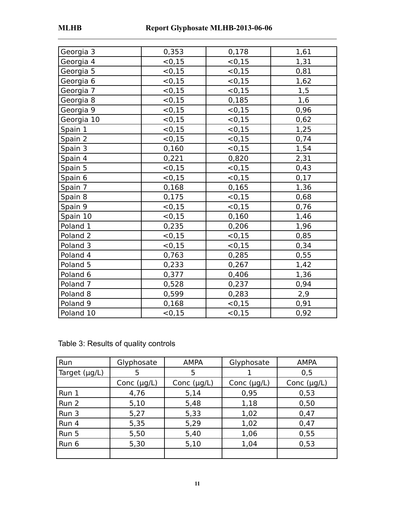| Georgia 3           | 0,353   | 0,178   | 1,61 |
|---------------------|---------|---------|------|
| Georgia 4           | < 0, 15 | < 0.15  | 1,31 |
| Georgia 5           | < 0, 15 | < 0, 15 | 0,81 |
| Georgia 6           | < 0, 15 | < 0, 15 | 1,62 |
| Georgia 7           | < 0.15  | < 0.15  | 1,5  |
| Georgia 8           | < 0.15  | 0,185   | 1,6  |
| Georgia 9           | < 0, 15 | < 0, 15 | 0,96 |
| Georgia 10          | < 0, 15 | < 0.15  | 0,62 |
| Spain 1             | < 0, 15 | < 0.15  | 1,25 |
| Spain 2             | < 0, 15 | < 0, 15 | 0,74 |
| Spain 3             | 0,160   | < 0.15  | 1,54 |
| Spain 4             | 0,221   | 0,820   | 2,31 |
| Spain 5             | < 0, 15 | < 0, 15 | 0,43 |
| Spain 6             | < 0.15  | < 0.15  | 0,17 |
| Spain 7             | 0,168   | 0,165   | 1,36 |
| Spain 8             | 0,175   | < 0, 15 | 0,68 |
| Spain 9             | < 0.15  | < 0.15  | 0,76 |
| Spain 10            | < 0.15  | 0,160   | 1,46 |
| Poland 1            | 0,235   | 0,206   | 1,96 |
| Poland <sub>2</sub> | < 0.15  | < 0, 15 | 0,85 |
| Poland <sub>3</sub> | < 0, 15 | < 0, 15 | 0,34 |
| Poland 4            | 0,763   | 0,285   | 0,55 |
| Poland 5            | 0,233   | 0,267   | 1,42 |
| Poland <sub>6</sub> | 0,377   | 0,406   | 1,36 |
| Poland <sub>7</sub> | 0,528   | 0,237   | 0,94 |
| Poland 8            | 0,599   | 0,283   | 2,9  |
| Poland <sub>9</sub> | 0,168   | < 0.15  | 0,91 |
| Poland 10           | < 0, 15 | < 0, 15 | 0,92 |

Table 3: Results of quality controls

| Run                | Glyphosate       | <b>AMPA</b>      | Glyphosate       | <b>AMPA</b>      |  |
|--------------------|------------------|------------------|------------------|------------------|--|
| Target $(\mu g/L)$ | 5                | 5                |                  | 0,5              |  |
|                    | Conc $(\mu g/L)$ | Conc $(\mu g/L)$ | Conc $(\mu g/L)$ | Conc $(\mu g/L)$ |  |
| Run 1              | 4,76             | 5,14             | 0,95             | 0,53             |  |
| Run 2              | 5,10             | 5,48             | 1,18             | 0,50             |  |
| Run 3              | 5,27             | 5,33             | 1,02             | 0,47             |  |
| Run 4              | 5,35             | 5,29             | 1,02             | 0,47             |  |
| Run 5              | 5,50             | 5,40             | 1,06             | 0,55             |  |
| Run 6              | 5,30             | 5,10             | 1,04             | 0,53             |  |
|                    |                  |                  |                  |                  |  |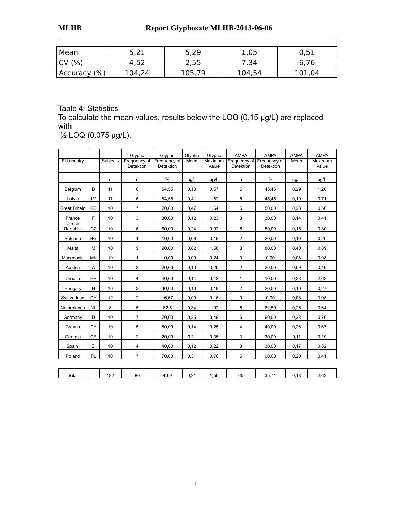| Mean             | ົ່າ-<br>しょんよ | -29<br>しょとつ   | 1,05   | 51<br>∪, J⊥ |
|------------------|--------------|---------------|--------|-------------|
| (% , )<br>'UV    | 4,52         | つ にに<br>ں زرے | 54, י  | 6,76        |
| (% )<br>Accuracy | 104,24       | 105,79        | 104,54 | 101,04      |

Table 4: Statistics

To calculate the mean values, results below the LOQ (0,15 µg/L) are replaced with

½ LOQ (0,075 µg/L).

| EU country           |           | Subjects | Glypho<br>Frequency of<br><b>Detektion</b> | Glypho<br>Frequency of<br><b>Detektion</b> | Glypho<br>Mean | Glypho<br>Maximum<br>Value | <b>AMPA</b><br><b>Detektion</b> | <b>AMPA</b><br>Frequency of Frequency of<br><b>Detektion</b> | <b>AMPA</b><br>Mean | <b>AMPA</b><br>Maximum<br>Value |
|----------------------|-----------|----------|--------------------------------------------|--------------------------------------------|----------------|----------------------------|---------------------------------|--------------------------------------------------------------|---------------------|---------------------------------|
|                      |           | n        | n                                          | $\frac{0}{0}$                              | $\mu q/L$      | $\mu$ g/L                  | n.                              | %                                                            | µg/L                | $\mu q/L$                       |
| Belgium              | B         | 11       | 6                                          | 54,55                                      | 0,18           | 0,57                       | 5                               | 45,45                                                        | 0,29                | 1,26                            |
| Latvia               | LV        | 11       | 6                                          | 54,55                                      | 0,41           | 1,82                       | 5                               | 45,45                                                        | 0, 19               | 0,71                            |
| <b>Great Britain</b> | <b>GB</b> | 10       | $\overline{7}$                             | 70,00                                      | 0,47           | 1,64                       | 5                               | 50,00                                                        | 0,23                | 0,56                            |
| France               | F         | 10       | 3                                          | 30,00                                      | 0,12           | 0,23                       | 3                               | 30,00                                                        | 0,14                | 0,41                            |
| Czech<br>Republic    | CZ        | 10       | 6                                          | 60,00                                      | 0,24           | 0,92                       | 5                               | 50,00                                                        | 0, 15               | 0,30                            |
| <b>Bulgaria</b>      | <b>BG</b> | 10       | $\mathbf{1}$                               | 10,00                                      | 0,09           | 0,18                       | 2                               | 20,00                                                        | 0, 10               | 0,20                            |
| Malta                | M         | 10       | 9                                          | 90.00                                      | 0,82           | 1,56                       | 8                               | 80,00                                                        | 0,40                | 0,89                            |
| Macedonia            | MK        | 10       | $\mathbf{1}$                               | 10,00                                      | 0,09           | 0,24                       | 0                               | 0,00                                                         | 0,08                | 0,08                            |
| Austria              | Α         | 10       | $\overline{2}$                             | 20,00                                      | 0,10           | 0,20                       | $\overline{2}$                  | 20,00                                                        | 0,09                | 0, 16                           |
| Croatia              | <b>HR</b> | 10       | $\overline{4}$                             | 40,00                                      | 0,14           | 0,42                       | $\mathbf{1}$                    | 10,00                                                        | 0,33                | 2,63                            |
| Hungary              | H         | 10       | 3                                          | 30,00                                      | 0,10           | 0,18                       | $\overline{c}$                  | 20,00                                                        | 0, 10               | 0,27                            |
| Switzerland          | <b>CH</b> | 12       | $\overline{2}$                             | 16,67                                      | 0,09           | 0,16                       | $\mathbf 0$                     | 0,00                                                         | 0,08                | 0,08                            |
| Netherlands          | <b>NL</b> | 8        | 5                                          | 62,5                                       | 0,34           | 1,02                       | 5                               | 62,50                                                        | 0,25                | 0,64                            |
| Germany              | D         | 10       | $\overline{7}$                             | 70,00                                      | 0,25           | 0,49                       | 6                               | 60,00                                                        | 0,23                | 0,70                            |
| Cyprus               | CY        | 10       | 5                                          | 50,00                                      | 0,14           | 0,25                       | $\overline{4}$                  | 40,00                                                        | 0,26                | 0,67                            |
| Georgia              | <b>GE</b> | 10       | $\overline{2}$                             | 20,00                                      | 0,11           | 0,35                       | 3                               | 30,00                                                        | 0,11                | 0,19                            |
| Spain                | E         | 10       | $\overline{4}$                             | 40,00                                      | 0,12           | 0,22                       | 3                               | 30,00                                                        | 0,17                | 0,82                            |
| Poland               | PL        | 10       | $\overline{7}$                             | 70,00                                      | 0,31           | 0,76                       | 6                               | 60,00                                                        | 0,20                | 0,41                            |
|                      |           |          |                                            |                                            |                |                            |                                 |                                                              |                     |                                 |
| Total                |           | 182      | 80                                         | 43,9                                       | 0,21           | 1,56                       | 65                              | 35,71                                                        | 0,18                | 2,63                            |